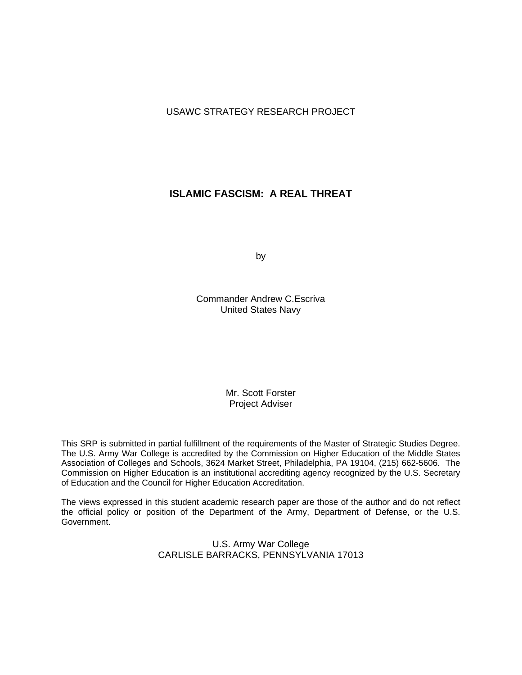# USAWC STRATEGY RESEARCH PROJECT

# **ISLAMIC FASCISM: A REAL THREAT**

by

Commander Andrew C.Escriva United States Navy

> Mr. Scott Forster Project Adviser

This SRP is submitted in partial fulfillment of the requirements of the Master of Strategic Studies Degree. The U.S. Army War College is accredited by the Commission on Higher Education of the Middle States Association of Colleges and Schools, 3624 Market Street, Philadelphia, PA 19104, (215) 662-5606. The Commission on Higher Education is an institutional accrediting agency recognized by the U.S. Secretary of Education and the Council for Higher Education Accreditation.

The views expressed in this student academic research paper are those of the author and do not reflect the official policy or position of the Department of the Army, Department of Defense, or the U.S. Government.

> U.S. Army War College CARLISLE BARRACKS, PENNSYLVANIA 17013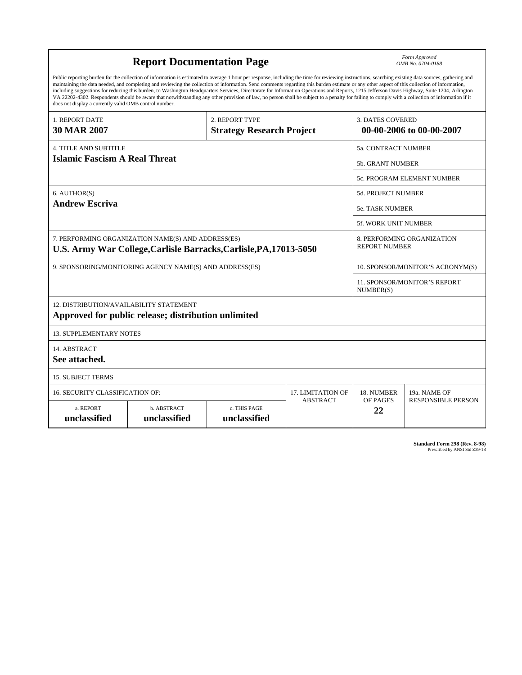| <b>Report Documentation Page</b>                                                                                                                                                                                                                                                                                                                                                                                                                                                                                                                                                                                                                                                                                                                                                                                                                                   |                             |                                  |                                  | Form Approved<br>OMB No. 0704-0188                 |                           |
|--------------------------------------------------------------------------------------------------------------------------------------------------------------------------------------------------------------------------------------------------------------------------------------------------------------------------------------------------------------------------------------------------------------------------------------------------------------------------------------------------------------------------------------------------------------------------------------------------------------------------------------------------------------------------------------------------------------------------------------------------------------------------------------------------------------------------------------------------------------------|-----------------------------|----------------------------------|----------------------------------|----------------------------------------------------|---------------------------|
| Public reporting burden for the collection of information is estimated to average 1 hour per response, including the time for reviewing instructions, searching existing data sources, gathering and<br>maintaining the data needed, and completing and reviewing the collection of information. Send comments regarding this burden estimate or any other aspect of this collection of information,<br>including suggestions for reducing this burden, to Washington Headquarters Services, Directorate for Information Operations and Reports, 1215 Jefferson Davis Highway, Suite 1204, Arlington<br>VA 22202-4302. Respondents should be aware that notwithstanding any other provision of law, no person shall be subject to a penalty for failing to comply with a collection of information if it<br>does not display a currently valid OMB control number. |                             |                                  |                                  |                                                    |                           |
| <b>1. REPORT DATE</b>                                                                                                                                                                                                                                                                                                                                                                                                                                                                                                                                                                                                                                                                                                                                                                                                                                              |                             | 2. REPORT TYPE                   |                                  | <b>3. DATES COVERED</b>                            |                           |
| <b>30 MAR 2007</b>                                                                                                                                                                                                                                                                                                                                                                                                                                                                                                                                                                                                                                                                                                                                                                                                                                                 |                             | <b>Strategy Research Project</b> |                                  | 00-00-2006 to 00-00-2007                           |                           |
| <b>4. TITLE AND SUBTITLE</b>                                                                                                                                                                                                                                                                                                                                                                                                                                                                                                                                                                                                                                                                                                                                                                                                                                       |                             |                                  |                                  | <b>5a. CONTRACT NUMBER</b>                         |                           |
| <b>Islamic Fascism A Real Threat</b>                                                                                                                                                                                                                                                                                                                                                                                                                                                                                                                                                                                                                                                                                                                                                                                                                               |                             |                                  | 5b. GRANT NUMBER                 |                                                    |                           |
|                                                                                                                                                                                                                                                                                                                                                                                                                                                                                                                                                                                                                                                                                                                                                                                                                                                                    |                             |                                  | 5c. PROGRAM ELEMENT NUMBER       |                                                    |                           |
| 6. AUTHOR(S)<br><b>Andrew Escriva</b>                                                                                                                                                                                                                                                                                                                                                                                                                                                                                                                                                                                                                                                                                                                                                                                                                              |                             |                                  | 5d. PROJECT NUMBER               |                                                    |                           |
|                                                                                                                                                                                                                                                                                                                                                                                                                                                                                                                                                                                                                                                                                                                                                                                                                                                                    |                             |                                  | <b>5e. TASK NUMBER</b>           |                                                    |                           |
|                                                                                                                                                                                                                                                                                                                                                                                                                                                                                                                                                                                                                                                                                                                                                                                                                                                                    |                             |                                  |                                  | 5f. WORK UNIT NUMBER                               |                           |
| 7. PERFORMING ORGANIZATION NAME(S) AND ADDRESS(ES)<br>U.S. Army War College, Carlisle Barracks, Carlisle, PA, 17013-5050                                                                                                                                                                                                                                                                                                                                                                                                                                                                                                                                                                                                                                                                                                                                           |                             |                                  |                                  | 8. PERFORMING ORGANIZATION<br><b>REPORT NUMBER</b> |                           |
| 9. SPONSORING/MONITORING AGENCY NAME(S) AND ADDRESS(ES)                                                                                                                                                                                                                                                                                                                                                                                                                                                                                                                                                                                                                                                                                                                                                                                                            |                             |                                  | 10. SPONSOR/MONITOR'S ACRONYM(S) |                                                    |                           |
|                                                                                                                                                                                                                                                                                                                                                                                                                                                                                                                                                                                                                                                                                                                                                                                                                                                                    |                             |                                  |                                  | 11. SPONSOR/MONITOR'S REPORT<br>NUMBER(S)          |                           |
| 12. DISTRIBUTION/AVAILABILITY STATEMENT<br>Approved for public release; distribution unlimited                                                                                                                                                                                                                                                                                                                                                                                                                                                                                                                                                                                                                                                                                                                                                                     |                             |                                  |                                  |                                                    |                           |
| <b>13. SUPPLEMENTARY NOTES</b>                                                                                                                                                                                                                                                                                                                                                                                                                                                                                                                                                                                                                                                                                                                                                                                                                                     |                             |                                  |                                  |                                                    |                           |
| 14. ABSTRACT<br>See attached.                                                                                                                                                                                                                                                                                                                                                                                                                                                                                                                                                                                                                                                                                                                                                                                                                                      |                             |                                  |                                  |                                                    |                           |
| <b>15. SUBJECT TERMS</b>                                                                                                                                                                                                                                                                                                                                                                                                                                                                                                                                                                                                                                                                                                                                                                                                                                           |                             |                                  |                                  |                                                    |                           |
| 16. SECURITY CLASSIFICATION OF:                                                                                                                                                                                                                                                                                                                                                                                                                                                                                                                                                                                                                                                                                                                                                                                                                                    |                             |                                  | <b>17. LIMITATION OF</b>         | 18. NUMBER                                         | 19a. NAME OF              |
| a. REPORT<br>unclassified                                                                                                                                                                                                                                                                                                                                                                                                                                                                                                                                                                                                                                                                                                                                                                                                                                          | b. ABSTRACT<br>unclassified | c. THIS PAGE<br>unclassified     | <b>ABSTRACT</b>                  | OF PAGES<br>22                                     | <b>RESPONSIBLE PERSON</b> |

**Standard Form 298 (Rev. 8-98)**<br>Prescribed by ANSI Std Z39-18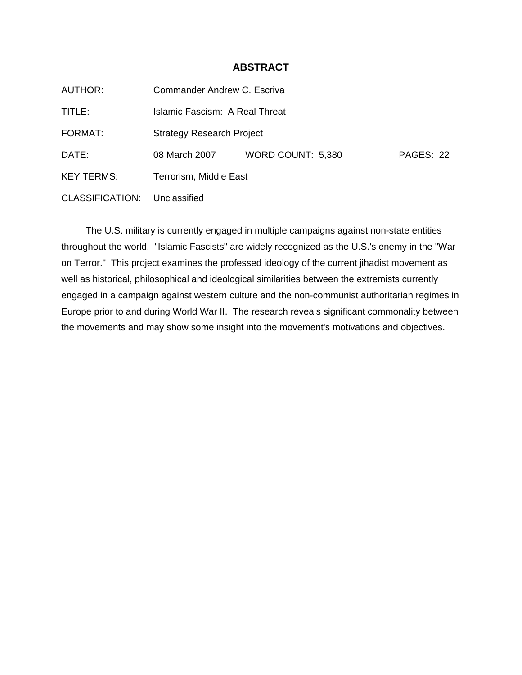# **ABSTRACT**

| AUTHOR:                | Commander Andrew C. Escriva      |                   |           |  |  |
|------------------------|----------------------------------|-------------------|-----------|--|--|
| TITLE:                 | Islamic Fascism: A Real Threat   |                   |           |  |  |
| FORMAT:                | <b>Strategy Research Project</b> |                   |           |  |  |
| DATE:                  | 08 March 2007                    | WORD COUNT: 5,380 | PAGES: 22 |  |  |
| <b>KEY TERMS:</b>      | Terrorism, Middle East           |                   |           |  |  |
| <b>CLASSIFICATION:</b> | Unclassified                     |                   |           |  |  |

The U.S. military is currently engaged in multiple campaigns against non-state entities throughout the world. "Islamic Fascists" are widely recognized as the U.S.'s enemy in the "War on Terror." This project examines the professed ideology of the current jihadist movement as well as historical, philosophical and ideological similarities between the extremists currently engaged in a campaign against western culture and the non-communist authoritarian regimes in Europe prior to and during World War II. The research reveals significant commonality between the movements and may show some insight into the movement's motivations and objectives.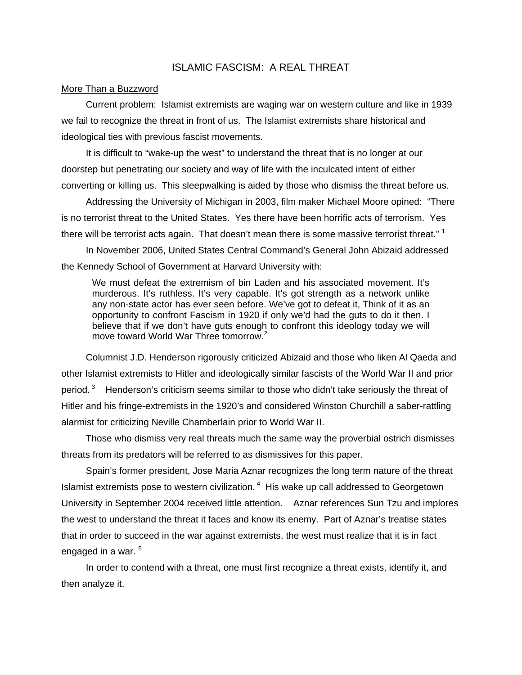# ISLAMIC FASCISM: A REAL THREAT

# More Than a Buzzword

Current problem: Islamist extremists are waging war on western culture and like in 1939 we fail to recognize the threat in front of us. The Islamist extremists share historical and ideological ties with previous fascist movements.

It is difficult to "wake-up the west" to understand the threat that is no longer at our doorstep but penetrating our society and way of life with the inculcated intent of either converting or killing us. This sleepwalking is aided by those who dismiss the threat before us.

Addressing the University of Michigan in 2003, film maker Michael Moore opined: "There is no terrorist threat to the United States. Yes there have been horrific acts of terrorism. Yes there will be terrorist acts again. That doesn't mean there is some massive terrorist threat."  $^1$ 

In November 2006, United States Central Command's General John Abizaid addressed the Kennedy School of Government at Harvard University with:

We must defeat the extremism of bin Laden and his associated movement. It's murderous. It's ruthless. It's very capable. It's got strength as a network unlike any non-state actor has ever seen before. We've got to defeat it, Think of it as an opportunity to confront Fascism in 1920 if only we'd had the guts to do it then. I believe that if we don't have guts enough to confront this ideology today we will move toward World War Three tomorrow.<sup>2</sup>

Columnist J.D. Henderson rigorously criticized Abizaid and those who liken Al Qaeda and other Islamist extremists to Hitler and ideologically similar fascists of the World War II and prior period.<sup>3</sup> Henderson's criticism seems similar to those who didn't take seriously the threat of Hitler and his fringe-extremists in the 1920's and considered Winston Churchill a saber-rattling alarmist for criticizing Neville Chamberlain prior to World War II.

Those who dismiss very real threats much the same way the proverbial ostrich dismisses threats from its predators will be referred to as dismissives for this paper.

Spain's former president, Jose Maria Aznar recognizes the long term nature of the threat Islamist extremists pose to western civilization. $4$  His wake up call addressed to Georgetown University in September 2004 received little attention. Aznar references Sun Tzu and implores the west to understand the threat it faces and know its enemy. Part of Aznar's treatise states that in order to succeed in the war against extremists, the west must realize that it is in fact engaged in a war. <sup>5</sup>

In order to contend with a threat, one must first recognize a threat exists, identify it, and then analyze it.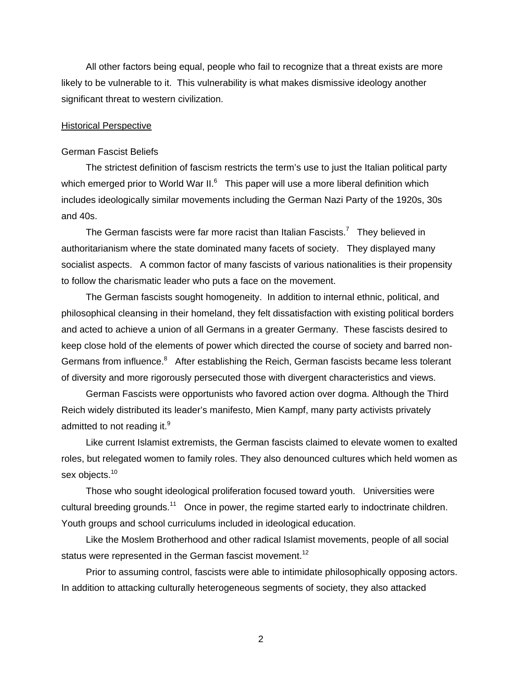All other factors being equal, people who fail to recognize that a threat exists are more likely to be vulnerable to it. This vulnerability is what makes dismissive ideology another significant threat to western civilization.

# Historical Perspective

### German Fascist Beliefs

The strictest definition of fascism restricts the term's use to just the Italian political party which emerged prior to World War II. $^6$  This paper will use a more liberal definition which includes ideologically similar movements including the German Nazi Party of the 1920s, 30s and 40s.

The German fascists were far more racist than Italian Fascists.<sup>7</sup> They believed in authoritarianism where the state dominated many facets of society. They displayed many socialist aspects. A common factor of many fascists of various nationalities is their propensity to follow the charismatic leader who puts a face on the movement.

The German fascists sought homogeneity. In addition to internal ethnic, political, and philosophical cleansing in their homeland, they felt dissatisfaction with existing political borders and acted to achieve a union of all Germans in a greater Germany. These fascists desired to keep close hold of the elements of power which directed the course of society and barred non-Germans from influence.<sup>8</sup> After establishing the Reich, German fascists became less tolerant of diversity and more rigorously persecuted those with divergent characteristics and views.

German Fascists were opportunists who favored action over dogma. Although the Third Reich widely distributed its leader's manifesto, Mien Kampf, many party activists privately admitted to not reading it.<sup>9</sup>

Like current Islamist extremists, the German fascists claimed to elevate women to exalted roles, but relegated women to family roles. They also denounced cultures which held women as sex objects.<sup>10</sup>

Those who sought ideological proliferation focused toward youth. Universities were cultural breeding grounds.<sup>11</sup> Once in power, the regime started early to indoctrinate children. Youth groups and school curriculums included in ideological education.

Like the Moslem Brotherhood and other radical Islamist movements, people of all social status were represented in the German fascist movement.<sup>12</sup>

Prior to assuming control, fascists were able to intimidate philosophically opposing actors. In addition to attacking culturally heterogeneous segments of society, they also attacked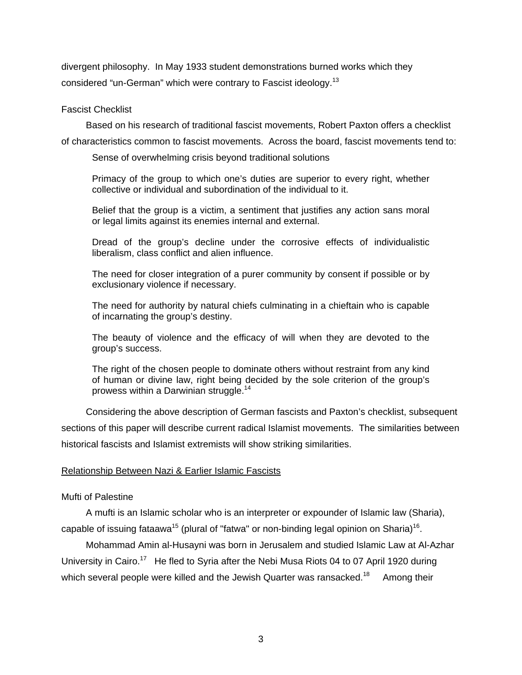divergent philosophy. In May 1933 student demonstrations burned works which they considered "un-German" which were contrary to Fascist ideology.13

# Fascist Checklist

Based on his research of traditional fascist movements, Robert Paxton offers a checklist of characteristics common to fascist movements. Across the board, fascist movements tend to:

Sense of overwhelming crisis beyond traditional solutions

Primacy of the group to which one's duties are superior to every right, whether collective or individual and subordination of the individual to it.

Belief that the group is a victim, a sentiment that justifies any action sans moral or legal limits against its enemies internal and external.

Dread of the group's decline under the corrosive effects of individualistic liberalism, class conflict and alien influence.

The need for closer integration of a purer community by consent if possible or by exclusionary violence if necessary.

The need for authority by natural chiefs culminating in a chieftain who is capable of incarnating the group's destiny.

The beauty of violence and the efficacy of will when they are devoted to the group's success.

The right of the chosen people to dominate others without restraint from any kind of human or divine law, right being decided by the sole criterion of the group's prowess within a Darwinian struggle.14

Considering the above description of German fascists and Paxton's checklist, subsequent sections of this paper will describe current radical Islamist movements. The similarities between historical fascists and Islamist extremists will show striking similarities.

# Relationship Between Nazi & Earlier Islamic Fascists

# Mufti of Palestine

A mufti is an Islamic scholar who is an interpreter or expounder of Islamic law (Sharia), capable of issuing fataawa<sup>15</sup> (plural of "fatwa" or non-binding legal opinion on Sharia)<sup>16</sup>.

Mohammad Amin al-Husayni was born in Jerusalem and studied Islamic Law at Al-Azhar University in Cairo.<sup>17</sup> He fled to Syria after the Nebi Musa Riots 04 to 07 April 1920 during which several people were killed and the Jewish Quarter was ransacked.<sup>18</sup> Among their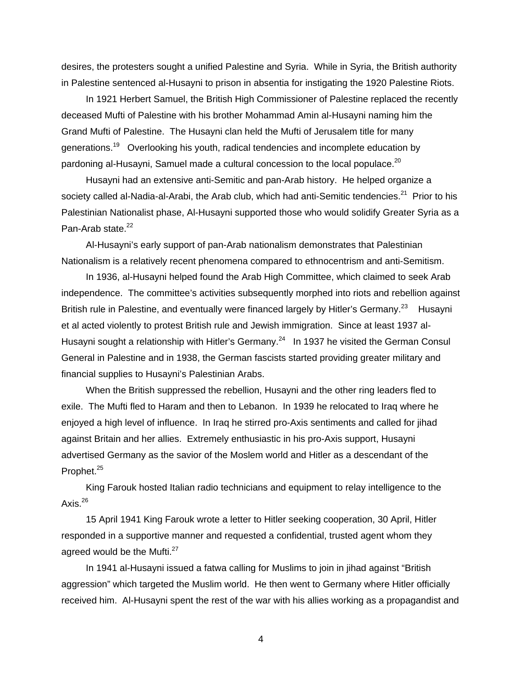desires, the protesters sought a unified Palestine and Syria. While in Syria, the British authority in Palestine sentenced al-Husayni to prison in absentia for instigating the 1920 Palestine Riots.

In 1921 Herbert Samuel, the British High Commissioner of Palestine replaced the recently deceased Mufti of Palestine with his brother Mohammad Amin al-Husayni naming him the Grand Mufti of Palestine. The Husayni clan held the Mufti of Jerusalem title for many generations.<sup>19</sup> Overlooking his youth, radical tendencies and incomplete education by pardoning al-Husayni, Samuel made a cultural concession to the local populace.<sup>20</sup>

Husayni had an extensive anti-Semitic and pan-Arab history. He helped organize a society called al-Nadia-al-Arabi, the Arab club, which had anti-Semitic tendencies.<sup>21</sup> Prior to his Palestinian Nationalist phase, Al-Husayni supported those who would solidify Greater Syria as a Pan-Arab state.<sup>22</sup>

Al-Husayni's early support of pan-Arab nationalism demonstrates that Palestinian Nationalism is a relatively recent phenomena compared to ethnocentrism and anti-Semitism.

In 1936, al-Husayni helped found the Arab High Committee, which claimed to seek Arab independence. The committee's activities subsequently morphed into riots and rebellion against British rule in Palestine, and eventually were financed largely by Hitler's Germany.<sup>23</sup> Husayni et al acted violently to protest British rule and Jewish immigration. Since at least 1937 al-Husayni sought a relationship with Hitler's Germany.<sup>24</sup> In 1937 he visited the German Consul General in Palestine and in 1938, the German fascists started providing greater military and financial supplies to Husayni's Palestinian Arabs.

When the British suppressed the rebellion, Husayni and the other ring leaders fled to exile. The Mufti fled to Haram and then to Lebanon. In 1939 he relocated to Iraq where he enjoyed a high level of influence. In Iraq he stirred pro-Axis sentiments and called for jihad against Britain and her allies. Extremely enthusiastic in his pro-Axis support, Husayni advertised Germany as the savior of the Moslem world and Hitler as a descendant of the Prophet.<sup>25</sup>

King Farouk hosted Italian radio technicians and equipment to relay intelligence to the Axis. $^{26}$ 

15 April 1941 King Farouk wrote a letter to Hitler seeking cooperation, 30 April, Hitler responded in a supportive manner and requested a confidential, trusted agent whom they agreed would be the Mufti.<sup>27</sup>

In 1941 al-Husayni issued a fatwa calling for Muslims to join in jihad against "British aggression" which targeted the Muslim world. He then went to Germany where Hitler officially received him. Al-Husayni spent the rest of the war with his allies working as a propagandist and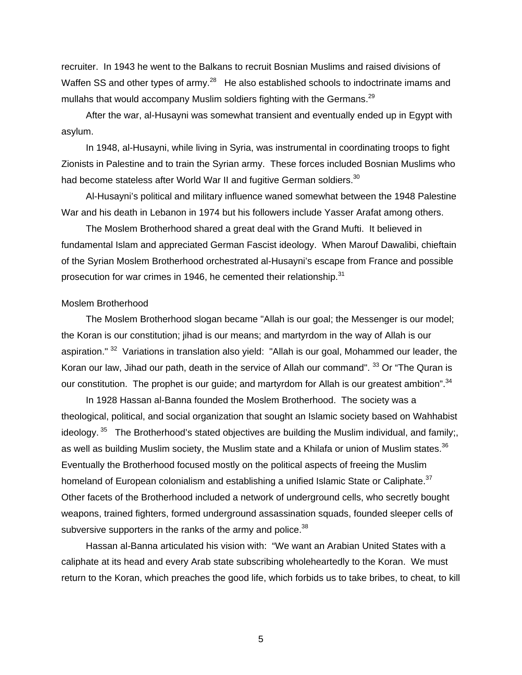recruiter. In 1943 he went to the Balkans to recruit Bosnian Muslims and raised divisions of Waffen SS and other types of army.<sup>28</sup> He also established schools to indoctrinate imams and mullahs that would accompany Muslim soldiers fighting with the Germans.<sup>29</sup>

After the war, al-Husayni was somewhat transient and eventually ended up in Egypt with asylum.

In 1948, al-Husayni, while living in Syria, was instrumental in coordinating troops to fight Zionists in Palestine and to train the Syrian army. These forces included Bosnian Muslims who had become stateless after World War II and fugitive German soldiers.<sup>30</sup>

Al-Husayni's political and military influence waned somewhat between the 1948 Palestine War and his death in Lebanon in 1974 but his followers include Yasser Arafat among others.

The Moslem Brotherhood shared a great deal with the Grand Mufti. It believed in fundamental Islam and appreciated German Fascist ideology. When Marouf Dawalibi, chieftain of the Syrian Moslem Brotherhood orchestrated al-Husayni's escape from France and possible prosecution for war crimes in 1946, he cemented their relationship.<sup>31</sup>

#### Moslem Brotherhood

The Moslem Brotherhood slogan became "Allah is our goal; the Messenger is our model; the Koran is our constitution; jihad is our means; and martyrdom in the way of Allah is our aspiration." <sup>32</sup> Variations in translation also yield: "Allah is our goal, Mohammed our leader, the Koran our law, Jihad our path, death in the service of Allah our command".  $33$  Or "The Quran is our constitution. The prophet is our guide; and martyrdom for Allah is our greatest ambition".<sup>34</sup>

In 1928 Hassan al-Banna founded the Moslem Brotherhood. The society was a theological, political, and social organization that sought an Islamic society based on Wahhabist ideology.  $35$  The Brotherhood's stated objectives are building the Muslim individual, and family; as well as building Muslim society, the Muslim state and a Khilafa or union of Muslim states. $36$ Eventually the Brotherhood focused mostly on the political aspects of freeing the Muslim homeland of European colonialism and establishing a unified Islamic State or Caliphate.<sup>37</sup> Other facets of the Brotherhood included a network of underground cells, who secretly bought weapons, trained fighters, formed underground assassination squads, founded sleeper cells of subversive supporters in the ranks of the army and police.<sup>38</sup>

Hassan al-Banna articulated his vision with: "We want an Arabian United States with a caliphate at its head and every Arab state subscribing wholeheartedly to the Koran. We must return to the Koran, which preaches the good life, which forbids us to take bribes, to cheat, to kill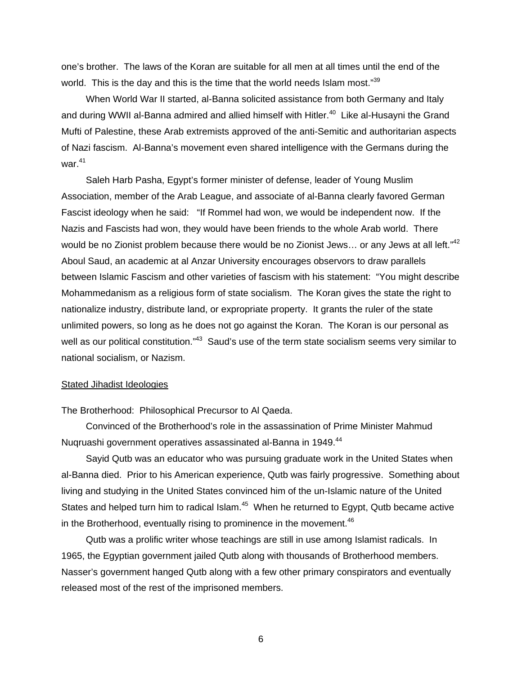one's brother. The laws of the Koran are suitable for all men at all times until the end of the world. This is the day and this is the time that the world needs Islam most."<sup>39</sup>

When World War II started, al-Banna solicited assistance from both Germany and Italy and during WWII al-Banna admired and allied himself with Hitler.<sup>40</sup> Like al-Husayni the Grand Mufti of Palestine, these Arab extremists approved of the anti-Semitic and authoritarian aspects of Nazi fascism. Al-Banna's movement even shared intelligence with the Germans during the war. $41$ 

Saleh Harb Pasha, Egypt's former minister of defense, leader of Young Muslim Association, member of the Arab League, and associate of al-Banna clearly favored German Fascist ideology when he said: "If Rommel had won, we would be independent now. If the Nazis and Fascists had won, they would have been friends to the whole Arab world. There would be no Zionist problem because there would be no Zionist Jews... or any Jews at all left."<sup>42</sup> Aboul Saud, an academic at al Anzar University encourages observors to draw parallels between Islamic Fascism and other varieties of fascism with his statement: "You might describe Mohammedanism as a religious form of state socialism. The Koran gives the state the right to nationalize industry, distribute land, or expropriate property. It grants the ruler of the state unlimited powers, so long as he does not go against the Koran. The Koran is our personal as well as our political constitution."<sup>43</sup> Saud's use of the term state socialism seems very similar to national socialism, or Nazism.

# Stated Jihadist Ideologies

The Brotherhood: Philosophical Precursor to Al Qaeda.

Convinced of the Brotherhood's role in the assassination of Prime Minister Mahmud Nugruashi government operatives assassinated al-Banna in 1949.<sup>44</sup>

Sayid Qutb was an educator who was pursuing graduate work in the United States when al-Banna died. Prior to his American experience, Qutb was fairly progressive. Something about living and studying in the United States convinced him of the un-Islamic nature of the United States and helped turn him to radical Islam.<sup>45</sup> When he returned to Egypt, Qutb became active in the Brotherhood, eventually rising to prominence in the movement. $46$ 

Qutb was a prolific writer whose teachings are still in use among Islamist radicals. In 1965, the Egyptian government jailed Qutb along with thousands of Brotherhood members. Nasser's government hanged Qutb along with a few other primary conspirators and eventually released most of the rest of the imprisoned members.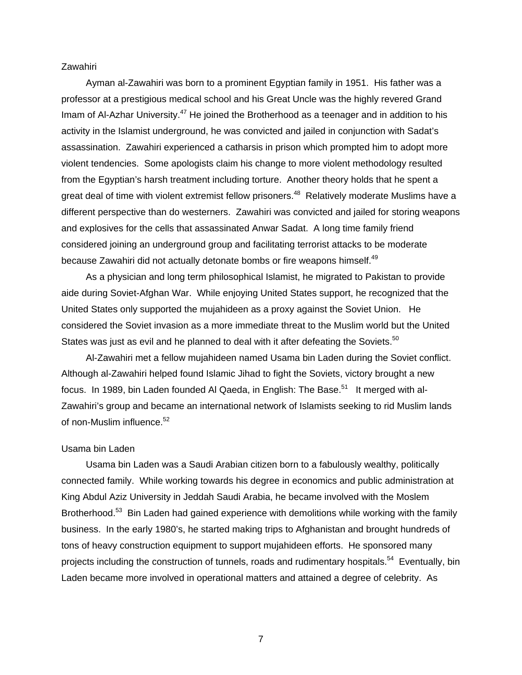## Zawahiri

Ayman al-Zawahiri was born to a prominent Egyptian family in 1951. His father was a professor at a prestigious medical school and his Great Uncle was the highly revered Grand Imam of Al-Azhar University.<sup>47</sup> He joined the Brotherhood as a teenager and in addition to his activity in the Islamist underground, he was convicted and jailed in conjunction with Sadat's assassination. Zawahiri experienced a catharsis in prison which prompted him to adopt more violent tendencies. Some apologists claim his change to more violent methodology resulted from the Egyptian's harsh treatment including torture. Another theory holds that he spent a great deal of time with violent extremist fellow prisoners.<sup>48</sup> Relatively moderate Muslims have a different perspective than do westerners. Zawahiri was convicted and jailed for storing weapons and explosives for the cells that assassinated Anwar Sadat. A long time family friend considered joining an underground group and facilitating terrorist attacks to be moderate because Zawahiri did not actually detonate bombs or fire weapons himself.<sup>49</sup>

As a physician and long term philosophical Islamist, he migrated to Pakistan to provide aide during Soviet-Afghan War. While enjoying United States support, he recognized that the United States only supported the mujahideen as a proxy against the Soviet Union. He considered the Soviet invasion as a more immediate threat to the Muslim world but the United States was just as evil and he planned to deal with it after defeating the Soviets.<sup>50</sup>

Al-Zawahiri met a fellow mujahideen named Usama bin Laden during the Soviet conflict. Although al-Zawahiri helped found Islamic Jihad to fight the Soviets, victory brought a new focus. In 1989, bin Laden founded AI Qaeda, in English: The Base.<sup>51</sup> It merged with al-Zawahiri's group and became an international network of Islamists seeking to rid Muslim lands of non-Muslim influence.<sup>52</sup>

# Usama bin Laden

Usama bin Laden was a Saudi Arabian citizen born to a fabulously wealthy, politically connected family. While working towards his degree in economics and public administration at King Abdul Aziz University in Jeddah Saudi Arabia, he became involved with the Moslem Brotherhood.<sup>53</sup> Bin Laden had gained experience with demolitions while working with the family business. In the early 1980's, he started making trips to Afghanistan and brought hundreds of tons of heavy construction equipment to support mujahideen efforts. He sponsored many projects including the construction of tunnels, roads and rudimentary hospitals.<sup>54</sup> Eventually, bin Laden became more involved in operational matters and attained a degree of celebrity. As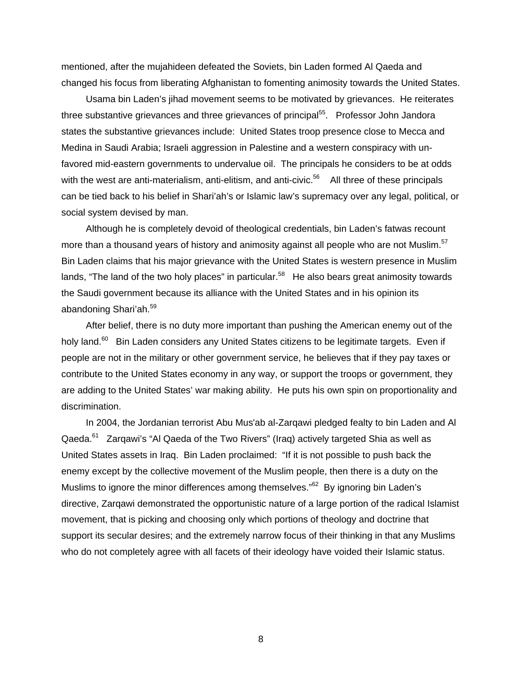mentioned, after the mujahideen defeated the Soviets, bin Laden formed Al Qaeda and changed his focus from liberating Afghanistan to fomenting animosity towards the United States.

Usama bin Laden's jihad movement seems to be motivated by grievances. He reiterates three substantive grievances and three grievances of principal<sup>55</sup>. Professor John Jandora states the substantive grievances include: United States troop presence close to Mecca and Medina in Saudi Arabia; Israeli aggression in Palestine and a western conspiracy with unfavored mid-eastern governments to undervalue oil. The principals he considers to be at odds with the west are anti-materialism, anti-elitism, and anti-civic.<sup>56</sup> All three of these principals can be tied back to his belief in Shari'ah's or Islamic law's supremacy over any legal, political, or social system devised by man.

Although he is completely devoid of theological credentials, bin Laden's fatwas recount more than a thousand years of history and animosity against all people who are not Muslim.<sup>57</sup> Bin Laden claims that his major grievance with the United States is western presence in Muslim lands, "The land of the two holy places" in particular.<sup>58</sup> He also bears great animosity towards the Saudi government because its alliance with the United States and in his opinion its abandoning Shari'ah.59

After belief, there is no duty more important than pushing the American enemy out of the holy land. $60$  Bin Laden considers any United States citizens to be legitimate targets. Even if people are not in the military or other government service, he believes that if they pay taxes or contribute to the United States economy in any way, or support the troops or government, they are adding to the United States' war making ability. He puts his own spin on proportionality and discrimination.

In 2004, the Jordanian terrorist Abu Mus'ab al-Zarqawi pledged fealty to bin Laden and Al Qaeda.<sup>61</sup> Zargawi's "Al Qaeda of the Two Rivers" (Iraq) actively targeted Shia as well as United States assets in Iraq. Bin Laden proclaimed: "If it is not possible to push back the enemy except by the collective movement of the Muslim people, then there is a duty on the Muslims to ignore the minor differences among themselves."<sup>62</sup> By ignoring bin Laden's directive, Zarqawi demonstrated the opportunistic nature of a large portion of the radical Islamist movement, that is picking and choosing only which portions of theology and doctrine that support its secular desires; and the extremely narrow focus of their thinking in that any Muslims who do not completely agree with all facets of their ideology have voided their Islamic status.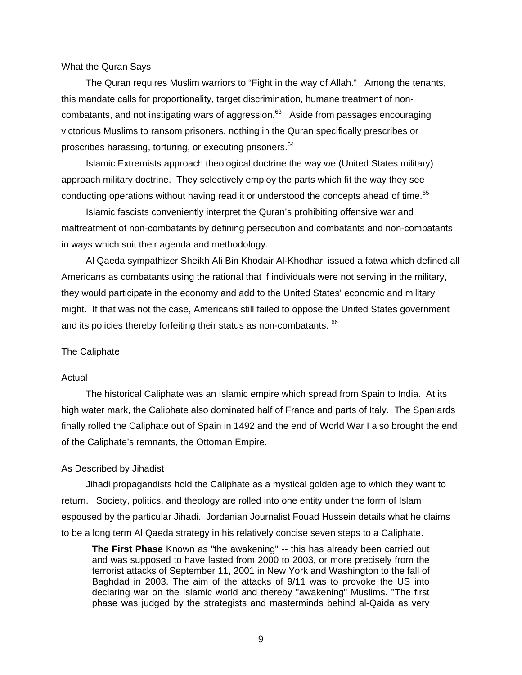### What the Quran Says

The Quran requires Muslim warriors to "Fight in the way of Allah." Among the tenants, this mandate calls for proportionality, target discrimination, humane treatment of noncombatants, and not instigating wars of aggression. $63$  Aside from passages encouraging victorious Muslims to ransom prisoners, nothing in the Quran specifically prescribes or proscribes harassing, torturing, or executing prisoners.<sup>64</sup>

Islamic Extremists approach theological doctrine the way we (United States military) approach military doctrine. They selectively employ the parts which fit the way they see conducting operations without having read it or understood the concepts ahead of time.<sup>65</sup>

Islamic fascists conveniently interpret the Quran's prohibiting offensive war and maltreatment of non-combatants by defining persecution and combatants and non-combatants in ways which suit their agenda and methodology.

Al Qaeda sympathizer Sheikh Ali Bin Khodair Al-Khodhari issued a fatwa which defined all Americans as combatants using the rational that if individuals were not serving in the military, they would participate in the economy and add to the United States' economic and military might. If that was not the case, Americans still failed to oppose the United States government and its policies thereby forfeiting their status as non-combatants.  $^{66}$ 

## **The Caliphate**

#### Actual

The historical Caliphate was an Islamic empire which spread from Spain to India. At its high water mark, the Caliphate also dominated half of France and parts of Italy. The Spaniards finally rolled the Caliphate out of Spain in 1492 and the end of World War I also brought the end of the Caliphate's remnants, the Ottoman Empire.

## As Described by Jihadist

Jihadi propagandists hold the Caliphate as a mystical golden age to which they want to return. Society, politics, and theology are rolled into one entity under the form of Islam espoused by the particular Jihadi. Jordanian Journalist Fouad Hussein details what he claims to be a long term Al Qaeda strategy in his relatively concise seven steps to a Caliphate.

**The First Phase** Known as "the awakening" -- this has already been carried out and was supposed to have lasted from 2000 to 2003, or more precisely from the terrorist attacks of September 11, 2001 in New York and Washington to the fall of Baghdad in 2003. The aim of the attacks of 9/11 was to provoke the US into declaring war on the Islamic world and thereby "awakening" Muslims. "The first phase was judged by the strategists and masterminds behind al-Qaida as very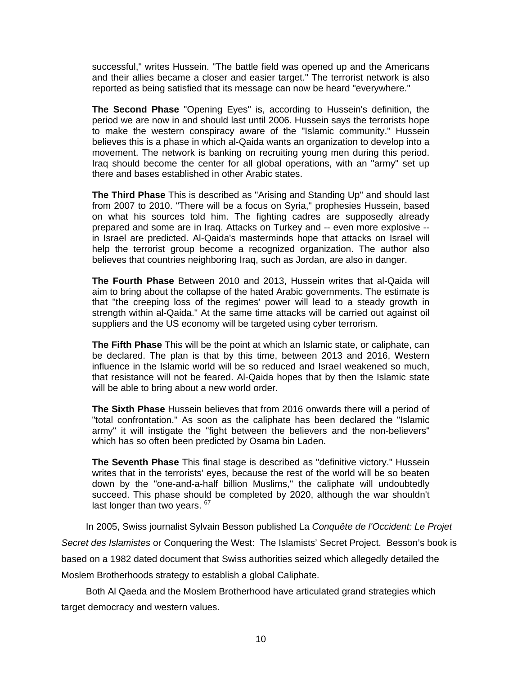successful," writes Hussein. "The battle field was opened up and the Americans and their allies became a closer and easier target." The terrorist network is also reported as being satisfied that its message can now be heard "everywhere."

**The Second Phase** "Opening Eyes" is, according to Hussein's definition, the period we are now in and should last until 2006. Hussein says the terrorists hope to make the western conspiracy aware of the "Islamic community." Hussein believes this is a phase in which al-Qaida wants an organization to develop into a movement. The network is banking on recruiting young men during this period. Iraq should become the center for all global operations, with an "army" set up there and bases established in other Arabic states.

**The Third Phase** This is described as "Arising and Standing Up" and should last from 2007 to 2010. "There will be a focus on Syria," prophesies Hussein, based on what his sources told him. The fighting cadres are supposedly already prepared and some are in Iraq. Attacks on Turkey and -- even more explosive - in Israel are predicted. Al-Qaida's masterminds hope that attacks on Israel will help the terrorist group become a recognized organization. The author also believes that countries neighboring Iraq, such as Jordan, are also in danger.

**The Fourth Phase** Between 2010 and 2013, Hussein writes that al-Qaida will aim to bring about the collapse of the hated Arabic governments. The estimate is that "the creeping loss of the regimes' power will lead to a steady growth in strength within al-Qaida." At the same time attacks will be carried out against oil suppliers and the US economy will be targeted using cyber terrorism.

**The Fifth Phase** This will be the point at which an Islamic state, or caliphate, can be declared. The plan is that by this time, between 2013 and 2016, Western influence in the Islamic world will be so reduced and Israel weakened so much, that resistance will not be feared. Al-Qaida hopes that by then the Islamic state will be able to bring about a new world order.

**The Sixth Phase** Hussein believes that from 2016 onwards there will a period of "total confrontation." As soon as the caliphate has been declared the "Islamic army" it will instigate the "fight between the believers and the non-believers" which has so often been predicted by Osama bin Laden.

**The Seventh Phase** This final stage is described as "definitive victory." Hussein writes that in the terrorists' eyes, because the rest of the world will be so beaten down by the "one-and-a-half billion Muslims," the caliphate will undoubtedly succeed. This phase should be completed by 2020, although the war shouldn't last longer than two years. <sup>67</sup>

In 2005, Swiss journalist Sylvain Besson published La *Conquête de l'Occident: Le Projet Secret des Islamistes* or Conquering the West: The Islamists' Secret Project. Besson's book is based on a 1982 dated document that Swiss authorities seized which allegedly detailed the Moslem Brotherhoods strategy to establish a global Caliphate.

Both Al Qaeda and the Moslem Brotherhood have articulated grand strategies which target democracy and western values.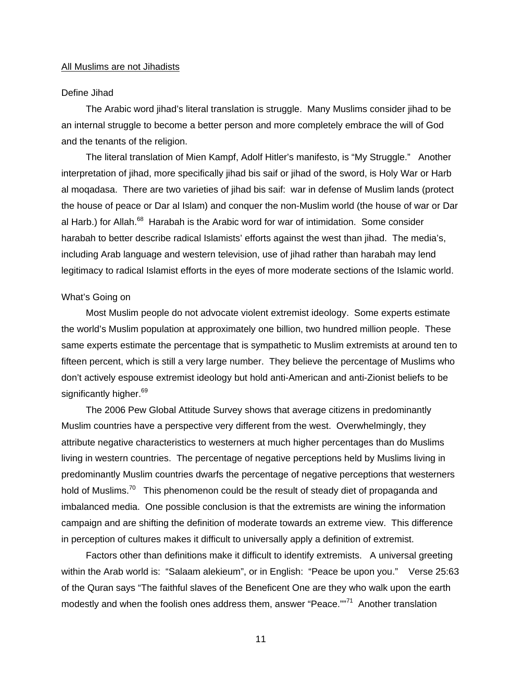### All Muslims are not Jihadists

### Define Jihad

The Arabic word jihad's literal translation is struggle. Many Muslims consider jihad to be an internal struggle to become a better person and more completely embrace the will of God and the tenants of the religion.

The literal translation of Mien Kampf, Adolf Hitler's manifesto, is "My Struggle." Another interpretation of jihad, more specifically jihad bis saif or jihad of the sword, is Holy War or Harb al moqadasa. There are two varieties of jihad bis saif: war in defense of Muslim lands (protect the house of peace or Dar al Islam) and conquer the non-Muslim world (the house of war or Dar al Harb.) for Allah.<sup>68</sup> Harabah is the Arabic word for war of intimidation. Some consider harabah to better describe radical Islamists' efforts against the west than jihad. The media's, including Arab language and western television, use of jihad rather than harabah may lend legitimacy to radical Islamist efforts in the eyes of more moderate sections of the Islamic world.

# What's Going on

Most Muslim people do not advocate violent extremist ideology. Some experts estimate the world's Muslim population at approximately one billion, two hundred million people. These same experts estimate the percentage that is sympathetic to Muslim extremists at around ten to fifteen percent, which is still a very large number. They believe the percentage of Muslims who don't actively espouse extremist ideology but hold anti-American and anti-Zionist beliefs to be significantly higher.<sup>69</sup>

The 2006 Pew Global Attitude Survey shows that average citizens in predominantly Muslim countries have a perspective very different from the west. Overwhelmingly, they attribute negative characteristics to westerners at much higher percentages than do Muslims living in western countries. The percentage of negative perceptions held by Muslims living in predominantly Muslim countries dwarfs the percentage of negative perceptions that westerners hold of Muslims.<sup>70</sup> This phenomenon could be the result of steady diet of propaganda and imbalanced media. One possible conclusion is that the extremists are wining the information campaign and are shifting the definition of moderate towards an extreme view. This difference in perception of cultures makes it difficult to universally apply a definition of extremist.

Factors other than definitions make it difficult to identify extremists. A universal greeting within the Arab world is: "Salaam alekieum", or in English: "Peace be upon you." Verse 25:63 of the Quran says "The faithful slaves of the Beneficent One are they who walk upon the earth modestly and when the foolish ones address them, answer "Peace.""<sup>71</sup> Another translation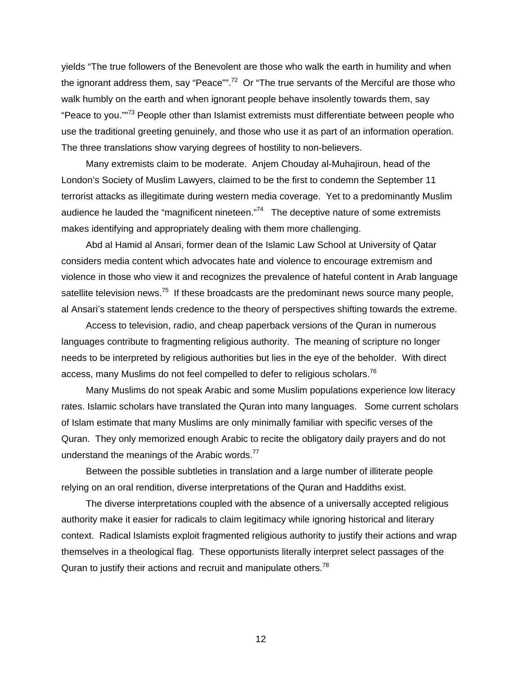yields "The true followers of the Benevolent are those who walk the earth in humility and when the ignorant address them, say "Peace"".<sup>72</sup> Or "The true servants of the Merciful are those who walk humbly on the earth and when ignorant people behave insolently towards them, say "Peace to you.""<sup>73</sup> People other than Islamist extremists must differentiate between people who use the traditional greeting genuinely, and those who use it as part of an information operation. The three translations show varying degrees of hostility to non-believers.

Many extremists claim to be moderate. Anjem Chouday al-Muhajiroun, head of the London's Society of Muslim Lawyers, claimed to be the first to condemn the September 11 terrorist attacks as illegitimate during western media coverage. Yet to a predominantly Muslim audience he lauded the "magnificent nineteen."<sup>74</sup> The deceptive nature of some extremists makes identifying and appropriately dealing with them more challenging.

Abd al Hamid al Ansari, former dean of the Islamic Law School at University of Qatar considers media content which advocates hate and violence to encourage extremism and violence in those who view it and recognizes the prevalence of hateful content in Arab language satellite television news.<sup>75</sup> If these broadcasts are the predominant news source many people, al Ansari's statement lends credence to the theory of perspectives shifting towards the extreme.

Access to television, radio, and cheap paperback versions of the Quran in numerous languages contribute to fragmenting religious authority. The meaning of scripture no longer needs to be interpreted by religious authorities but lies in the eye of the beholder. With direct access, many Muslims do not feel compelled to defer to religious scholars.<sup>76</sup>

Many Muslims do not speak Arabic and some Muslim populations experience low literacy rates. Islamic scholars have translated the Quran into many languages. Some current scholars of Islam estimate that many Muslims are only minimally familiar with specific verses of the Quran. They only memorized enough Arabic to recite the obligatory daily prayers and do not understand the meanings of the Arabic words. $<sup>77</sup>$ </sup>

Between the possible subtleties in translation and a large number of illiterate people relying on an oral rendition, diverse interpretations of the Quran and Haddiths exist.

The diverse interpretations coupled with the absence of a universally accepted religious authority make it easier for radicals to claim legitimacy while ignoring historical and literary context. Radical Islamists exploit fragmented religious authority to justify their actions and wrap themselves in a theological flag. These opportunists literally interpret select passages of the Quran to justify their actions and recruit and manipulate others.<sup>78</sup>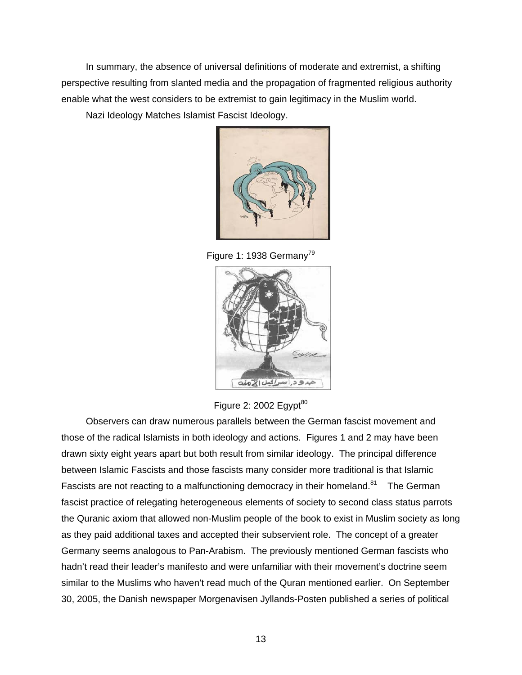In summary, the absence of universal definitions of moderate and extremist, a shifting perspective resulting from slanted media and the propagation of fragmented religious authority enable what the west considers to be extremist to gain legitimacy in the Muslim world.

Nazi Ideology Matches Islamist Fascist Ideology.



Figure 1: 1938 Germany<sup>79</sup>



Figure 2:  $2002$  Egypt $^{80}$ 

Observers can draw numerous parallels between the German fascist movement and those of the radical Islamists in both ideology and actions. Figures 1 and 2 may have been drawn sixty eight years apart but both result from similar ideology. The principal difference between Islamic Fascists and those fascists many consider more traditional is that Islamic Fascists are not reacting to a malfunctioning democracy in their homeland.<sup>81</sup> The German fascist practice of relegating heterogeneous elements of society to second class status parrots the Quranic axiom that allowed non-Muslim people of the book to exist in Muslim society as long as they paid additional taxes and accepted their subservient role. The concept of a greater Germany seems analogous to Pan-Arabism. The previously mentioned German fascists who hadn't read their leader's manifesto and were unfamiliar with their movement's doctrine seem similar to the Muslims who haven't read much of the Quran mentioned earlier. On September 30, 2005, the Danish newspaper Morgenavisen Jyllands-Posten published a series of political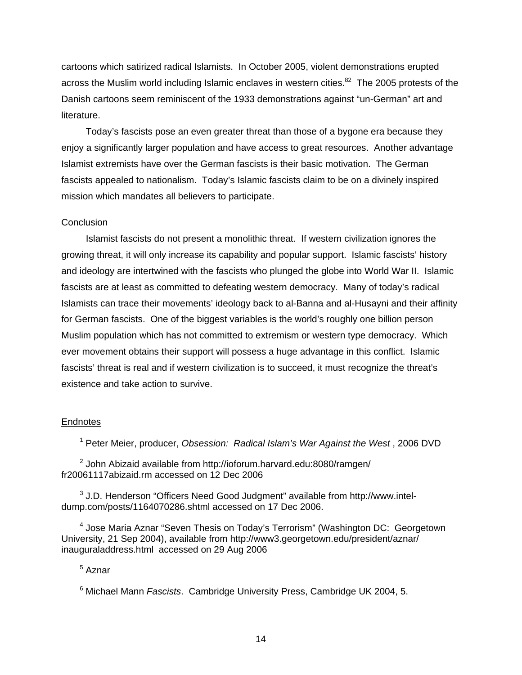cartoons which satirized radical Islamists. In October 2005, violent demonstrations erupted across the Muslim world including Islamic enclaves in western cities.<sup>82</sup> The 2005 protests of the Danish cartoons seem reminiscent of the 1933 demonstrations against "un-German" art and literature.

Today's fascists pose an even greater threat than those of a bygone era because they enjoy a significantly larger population and have access to great resources. Another advantage Islamist extremists have over the German fascists is their basic motivation. The German fascists appealed to nationalism. Today's Islamic fascists claim to be on a divinely inspired mission which mandates all believers to participate.

# **Conclusion**

Islamist fascists do not present a monolithic threat. If western civilization ignores the growing threat, it will only increase its capability and popular support. Islamic fascists' history and ideology are intertwined with the fascists who plunged the globe into World War II. Islamic fascists are at least as committed to defeating western democracy. Many of today's radical Islamists can trace their movements' ideology back to al-Banna and al-Husayni and their affinity for German fascists. One of the biggest variables is the world's roughly one billion person Muslim population which has not committed to extremism or western type democracy. Which ever movement obtains their support will possess a huge advantage in this conflict. Islamic fascists' threat is real and if western civilization is to succeed, it must recognize the threat's existence and take action to survive.

# **Endnotes**

1 Peter Meier, producer, *Obsession: Radical Islam's War Against the West* , 2006 DVD

<sup>2</sup> John Abizaid available from http://ioforum.harvard.edu:8080/ramgen/ fr20061117abizaid.rm accessed on 12 Dec 2006

<sup>3</sup> J.D. Henderson "Officers Need Good Judgment" available from http://www.inteldump.com/posts/1164070286.shtml accessed on 17 Dec 2006.

<sup>4</sup> Jose Maria Aznar "Seven Thesis on Today's Terrorism" (Washington DC: Georgetown University, 21 Sep 2004), available from http://www3.georgetown.edu/president/aznar/ inauguraladdress.html accessed on 29 Aug 2006

# 5 Aznar

6 Michael Mann *Fascists*. Cambridge University Press, Cambridge UK 2004, 5.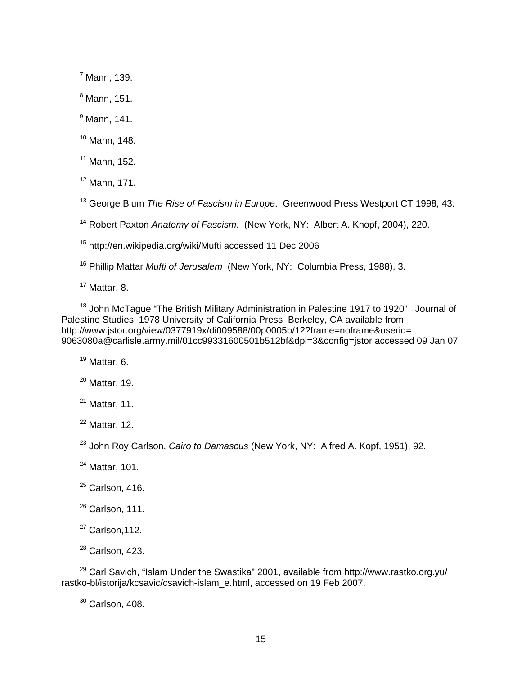7 Mann, 139.

 $^8$  Mann, 151.

<sup>9</sup> Mann, 141.

10 Mann, 148.

 $11$  Mann, 152.

 $12$  Mann, 171.

13 George Blum *The Rise of Fascism in Europe*. Greenwood Press Westport CT 1998, 43.

14 Robert Paxton *Anatomy of Fascism*. (New York, NY: Albert A. Knopf, 2004), 220.

15 http://en.wikipedia.org/wiki/Mufti accessed 11 Dec 2006

16 Phillip Mattar *Mufti of Jerusalem* (New York, NY: Columbia Press, 1988), 3.

 $17$  Mattar, 8.

<sup>18</sup> John McTague "The British Military Administration in Palestine 1917 to 1920" Journal of Palestine Studies 1978 University of California Press Berkeley, CA available from http://www.jstor.org/view/0377919x/di009588/00p0005b/12?frame=noframe&userid= 9063080a@carlisle.army.mil/01cc99331600501b512bf&dpi=3&config=jstor accessed 09 Jan 07

 $19$  Mattar, 6.

 $20$  Mattar, 19.

 $21$  Mattar, 11.

 $22$  Mattar, 12.

23 John Roy Carlson, *Cairo to Damascus* (New York, NY: Alfred A. Kopf, 1951), 92.

 $24$  Mattar, 101.

 $25$  Carlson, 416.

 $26$  Carlson, 111.

 $27$  Carlson, 112.

 $28$  Carlson, 423.

 $29$  Carl Savich, "Islam Under the Swastika" 2001, available from http://www.rastko.org.yu/ rastko-bl/istorija/kcsavic/csavich-islam\_e.html, accessed on 19 Feb 2007.

 $30$  Carlson, 408.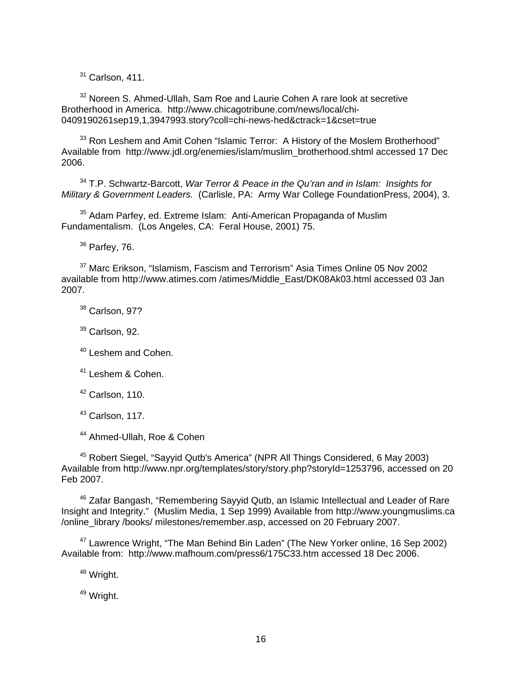$31$  Carlson, 411.

<sup>32</sup> Noreen S. Ahmed-Ullah, Sam Roe and Laurie Cohen A rare look at secretive Brotherhood in America. http://www.chicagotribune.com/news/local/chi-0409190261sep19,1,3947993.story?coll=chi-news-hed&ctrack=1&cset=true

<sup>33</sup> Ron Leshem and Amit Cohen "Islamic Terror: A History of the Moslem Brotherhood" Available from http://www.jdl.org/enemies/islam/muslim\_brotherhood.shtml accessed 17 Dec 2006.

34 T.P. Schwartz-Barcott, *War Terror & Peace in the Qu'ran and in Islam: Insights for Military & Government Leaders.* (Carlisle, PA: Army War College FoundationPress, 2004), 3.

<sup>35</sup> Adam Parfey, ed. Extreme Islam: Anti-American Propaganda of Muslim Fundamentalism. (Los Angeles, CA: Feral House, 2001) 75.

36 Parfey, 76.

<sup>37</sup> Marc Erikson, "Islamism, Fascism and Terrorism" Asia Times Online 05 Nov 2002 available from http://www.atimes.com /atimes/Middle\_East/DK08Ak03.html accessed 03 Jan 2007.

38 Carlson, 97?

 $39$  Carlson, 92.

<sup>40</sup> Leshem and Cohen.

41 Leshem & Cohen.

<sup>42</sup> Carlson, 110.

 $43$  Carlson, 117.

44 Ahmed-Ullah, Roe & Cohen

45 Robert Siegel, "Sayyid Qutb's America" (NPR All Things Considered, 6 May 2003) Available from http://www.npr.org/templates/story/story.php?storyId=1253796, accessed on 20 Feb 2007.

<sup>46</sup> Zafar Bangash, "Remembering Sayyid Qutb, an Islamic Intellectual and Leader of Rare Insight and Integrity." (Muslim Media, 1 Sep 1999) Available from http://www.youngmuslims.ca /online\_library /books/ milestones/remember.asp, accessed on 20 February 2007.

47 Lawrence Wright, "The Man Behind Bin Laden" (The New Yorker online, 16 Sep 2002) Available from: http://www.mafhoum.com/press6/175C33.htm accessed 18 Dec 2006.

<sup>48</sup> Wright.

<sup>49</sup> Wright.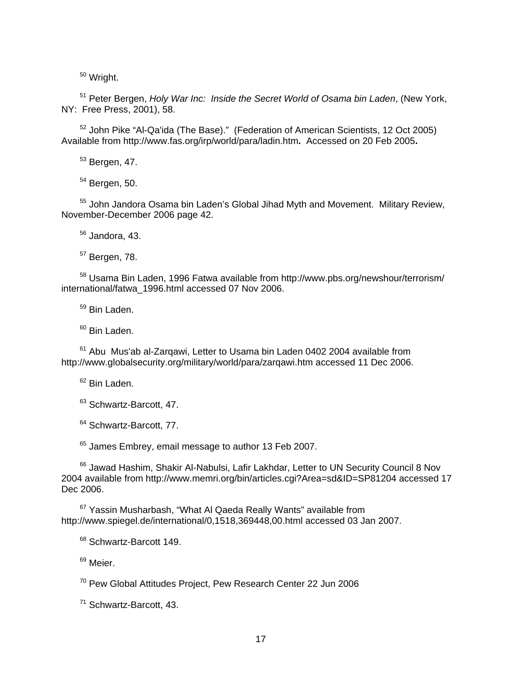50 Wright.

51 Peter Bergen, *Holy War Inc: Inside the Secret World of Osama bin Laden*, (New York, NY: Free Press, 2001), 58.

52 John Pike "Al-Qa'ida (The Base)." (Federation of American Scientists, 12 Oct 2005) Available from http://www.fas.org/irp/world/para/ladin.htm**.** Accessed on 20 Feb 2005**.**

 $<sup>53</sup>$  Bergen, 47.</sup>

54 Bergen, 50.

<sup>55</sup> John Jandora Osama bin Laden's Global Jihad Myth and Movement. Military Review, November-December 2006 page 42.

 $56$  Jandora, 43.

57 Bergen, 78.

58 Usama Bin Laden, 1996 Fatwa available from http://www.pbs.org/newshour/terrorism/ international/fatwa\_1996.html accessed 07 Nov 2006.

59 Bin Laden.

<sup>60</sup> Bin Laden.

 $61$  Abu Mus'ab al-Zargawi, Letter to Usama bin Laden 0402 2004 available from http://www.globalsecurity.org/military/world/para/zarqawi.htm accessed 11 Dec 2006.

 $62$  Bin Laden.

<sup>63</sup> Schwartz-Barcott, 47.

<sup>64</sup> Schwartz-Barcott, 77.

 $65$  James Embrey, email message to author 13 Feb 2007.

<sup>66</sup> Jawad Hashim, Shakir Al-Nabulsi, Lafir Lakhdar, Letter to UN Security Council 8 Nov 2004 available from http://www.memri.org/bin/articles.cgi?Area=sd&ID=SP81204 accessed 17 Dec 2006.

<sup>67</sup> Yassin Musharbash, "What AI Qaeda Really Wants" available from http://www.spiegel.de/international/0,1518,369448,00.html accessed 03 Jan 2007.

<sup>68</sup> Schwartz-Barcott 149.

<sup>69</sup> Meier.

70 Pew Global Attitudes Project, Pew Research Center 22 Jun 2006

71 Schwartz-Barcott, 43.